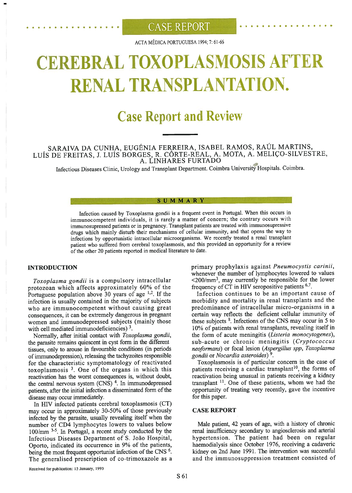## $\overline{\text{CASE} }\text{REPORT}$

ACTA MÉDICA PORTUGUESA 1994; 7: <sup>6</sup> 1-66

# **REBRAL TOXOPLASMOSIS A** RENAL TRANSPLANTATION.

# **Case Report and Review**

### SARAIVA DA CUNHA, EUGÉNIA FERREIRA, ISABEL RAMOS, RAÚL MARTINS, LUÍS DE FREITAS, J. LUÍS BORGES, R. CORTE-REAL, A. MOTA, A. MELIÇO-SILVESTRE, A.<br>A. LINHARES FURTADO

Infectious Diseases Clinic, Urology and Transplant Department. Coimbra University Hospitais. Coimbra.

#### **SUMMARY**

Infection caused by Toxoplasma gondii is <sup>a</sup> frequent event in Portugal. When this occurs in immunocompetent individuals, it is rarely a matter of concern; the contrary occurs with immunosupressed patients or in pregnancy. Transpiant patients are treated with immunosupressive drugs which mainly disturb their mechanisms of celiular immunity, and that opens the way to infections by opportunistic intraceilular microorganisms. We recently treated <sup>a</sup> renal transpiant patient who suffered from cerebral toxopiasmosis, and this provided an opportunity for <sup>a</sup> review of the other 20 patients reported in medical literature to date.

#### INTRODUCTION

Toxoplasma gondii is <sup>a</sup> compulsory intracellular protozoan which affects approximately 60% of the Portuguese population above  $30$  years of age  $^{1,2}$ . If the infection is usually contained in the majority of subjects who are immunocompetent without causing great consequences, it can be extremely dangerous in pregnant women and immunodepressed subjects (mainly those with cell mediated immunodeficiencies)  $3$ .

Normally, after initial contact with Toxoplasma gondii, the parasite remains quiescent in cyst form in the different tissues, only to arouse in favourable conditions (in periods of immunodepression), releasing the tachyzoites responsible for the characteristic symptomatology of reactivated toxoplasmosis  $<sup>3</sup>$ . One of the organs in which this</sup> reactivation has the worst consequences is, without doubt, the central nervous system  $(CNS)^4$ . In immunodepressed patients, after the initial infection a disseminated form of the disease may occur immediately.

In HIV infected patients cerebral toxoplasmosis (CT) may occur in approximately 30-50% of those previously infected by the parasite, usually revealing itself when the number of CD4 lymphocytes lowers to values below  $100$ /mm  $3-5$ . In Portugal, a recent study conducted by the Infectious Diseases Department of S. João Hospital, Oporto, indicated its occurrence in 9% of the patients, being the most frequent opportunist infection of the CNS  $<sup>6</sup>$ .</sup> The generalised prescription of co-trimoxazole as <sup>a</sup> primary prophylaxis against Pneumocystis carinii, whenever the number of lymphocytes lowered to values <200/mm3, may currently be responsible for the lower frequency of  $CT$  in HIV seropositive patients  $6,7$ .

. . . . . e • . . . e e • • • • •

Infection continues to be an important cause of morbidity and mortaiity in renal transplants and the predominance of intracellular micro-organisms in <sup>a</sup> certain way reflects the deficient cellular immunity of these subjects  $8$ . Infections of the CNS may occur in 5 to 10% of patients with renal transplants, revealing itself in the form of acute meningitis (Listeria monocytogenes), sub-acute or chronic meningitis (Cryptococcus neoformans) or focal lesion (Aspergilius spp, Toxoplasma gondii or Nocardia asteroides)<sup>9</sup>.

Toxoplasmosis is of particular concern in the case of patients receiving a cardiac transplant<sup>10</sup>, the forms of reactivation being unusual in patients receiving <sup>a</sup> kidney transplant  $<sup>11</sup>$ . One of these patients, whom we had the</sup> opportunity of treating very recently, gave the incentive for this paper.

#### CASE REPORT

Male patient, 42 years of age, with <sup>a</sup> history of chronic renal insufficiency secondary to angiosclerosis and arterial hypertension. The patient had been on regular haemodialysis since October 1976, receiving <sup>a</sup> cadaveric kidney on 2nd June 1991. The intervention was successful and the immunosuppression treatment consisted of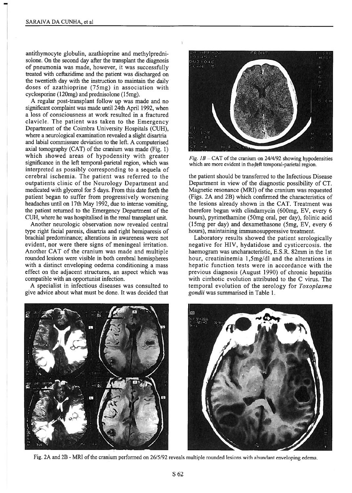antithymocyte globulin, azathioprine and methylpredni solone. On the second day after the transplant the diagnosis of pneumonia was made, however, it was successfully treated with cefiazidime and the patient was discharged on the twentieth day with the instruction to maintain the daily doses of azathioprine (75mg) in association with cyclosporine (120mg) and prednisolone (15mg).

A regular post-transplant follow up was made and no significant complamt was made until 24th April 1992, when a loss of consciousness at work resulted in a fractured clavicle. The patient was taken to the Emergency Department of the Coimbra University Hospitais (CUH), where <sup>a</sup> neurologicai examination revealed <sup>a</sup> slight disartria and labial commissure deviation to the left. A computerised axial tomography  $(CAT)$  of the cranium was made (Fig. 1) which showed areas of hypodensity with greater significance in the ieft temporal-parietal region, which was interpreted as possibly corresponding to <sup>a</sup> sequela of cerebral ischemia. The patient was referred to the outpatients clinic of the Neurology Department and medicated with glycerol for <sup>5</sup> days. From this date forth the patient began to suffer from progressively worsening headaches until on 17th May 1992, due to intense vomiting, the patient returned to the Emergency Department of the CUH, where he was hospitalised in the renal transplant unit.

Another neurologic observation now revealed central type right facial paresis, disartria and right hemiparesis of brachial predominance; alterations in awareness were not evident, nor were there signs of meningeal irritation. Another CAT of the cranium was made and multiple rounded lesions were visible in both cerebral hemispheres with <sup>a</sup> distinct enveloping oedema conditioning <sup>a</sup> mass effect on the adjacent structures, an aspect which was compatible with an opportunist infection.

A specialist in infectious diseases was consulted to give advice about what must be done. It was decided that





Fig.  $IB - CAT$  of the cranium on 24/4/92 showing hypodensities which are more evident in the feft temporal-parietal region.

the patient should be transferred to the Infectious Disease Department in view of the diagnostic possibility of CT. Magnetic resonance (MRI) of the cranium was requested (Figs. 2A and 2B) which confirmed the characteristics of the lesions already shown in the CAT. Treatment was therefore begun with clindamycin (600mg, EV, every 6 hours), pyrimethamine (5Omg oral, per day), folinic acid (15mg per day) and dexamethasone (5mg, EV, every 6 hours), maintaining immunosuppressive treatment.

Laboratory results showed the patient serologically negative for HIV, hydatidose and cysticercosis. the haemogram was uncharacteristic, E.S.R. 82mm in the <sup>1</sup> st hour, creatininemia 1,Smg/dl and the alterations in hepatic function tests were in accordance with the previous diagnosis (August 1990) of chronic hepatitis with cirrhotic evolution attributed to the C virus. The temporal evolution of the serology for Toxoplasma gondii was summarised in Table 1.



Fig. 2A and 2B - MRI of the cranium performed on 26/5/92 reveals multiple rounded lesions with abundant enveloping edema.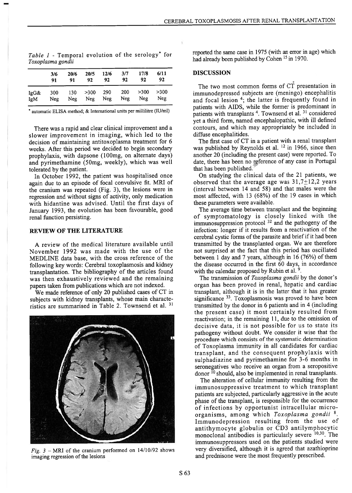|             | 3/6<br>91  | 20/6<br>91 | 20/5<br>92        | 12/6<br>92 | 3/7<br>92  | 17/8<br>92  | 6/11<br>92  |  |
|-------------|------------|------------|-------------------|------------|------------|-------------|-------------|--|
| IgG&<br>IgM | 300<br>Neg | 130<br>Neg | $>300$ 290<br>Neg | Neg        | 200<br>Neg | >300<br>Neg | >300<br>Neg |  |

Table  $1$  - Temporal evolution of the serology<sup>\*</sup> for Toxoplasma gondii

\* automatic ELISA method; & International units per millilitre (IU/mi)

There was <sup>a</sup> rapid and clear clinical improvement and <sup>a</sup> slower improvement in imaging, which led to the decision of maintaining antitoxoplasma treatment for 6 weeks. Afier this period we decided to begin secondary prophylaxis, with dapsone (100mg, on alternate days) and pyrimethamine (5Omg, weekly), which was well tolerated by the patient.

In October 1992, the patient was hospitalised once again due to an episode of focal convulsive fit. MRI of the cranium was repeated (Fig. 3), the lesions were in regression and without signs of activity, only medication with hidantine was advised. Until the first days of January 1993, the evolution has been favourable, good renal function persisting.

#### REVIEW OF THE LITERATURE

A review of the medical literature available until November 1992 was made with the use of the MEDLINE data base, with the cross reference of the following key words: Cerebral toxoplasmosis and kidney transplantation. The bibliography of the articles found was then exhaustively reviewed and the remaining papers taken from publications which are not indexed.

We made reference of only 20 published cases of CT in subjects with kidney transplants, whose main characte ristics are summarised in Table 2. Townsend et al. <sup>31</sup>



Fig.  $3$  – MRI of the cranium performed on 14/10/92 shows imaging regression of the lesions

reported the same case in 1975 (with an error in age) which had already been published by Cohen <sup>15</sup> in 1970.

#### DISCUSSION

The two most common forms of CT presentation in immunodepressed subjects are (meningo) encephaiitis and focal lesion <sup>4</sup>; the latter is frequently found in patients with AIDS, while the former is predominant in patients with transplants <sup>4</sup>. Townsend et al. <sup>31</sup> considered yet a third form, named encephalopathic, with ill defined contours, and which may appropriately be included in diffuse encephalitides.

The first case of CT in <sup>a</sup> patient with <sup>a</sup> renal transplant was published by Reynolds et al. <sup>12</sup> in 1966, since then another 20 (including the present case) were reported. To date, there has been no reference of any case in Portugal that has been published.

On studying the clinical data of the 21 patients, we observed that the average age was  $31,7\pm12,2$  years (interval between 14 and 58) and that males were the most affected, with 13 (68%) of the 19 cases in which these parameters were available.

The average time between transplant and the beginning of symptomatology is closely linked with the immunosuppression protocol  $32$  and the pathogeny of the infection: longer if it results from <sup>a</sup> reactivation of the cerebral cystic forms of the parasite and brief if it had been transmitted by the transplanted organ. We are therefore not surprised at the fact that this period has oscillated between 1 day and 7 years, although in 16 (76%) of them the disease occurred in the first 60 days, in accordance with the calendar proposed by Rubin et al.  $9$ .

The transmission of Toxoplasma gondii by the donor's organ has been proved in renal, hepatic and cardiac transplant, although it is in the latter that it has greater significance <sup>33</sup>. Toxoplasmosis was proved to have been transmitted by the donor in 6 patients and in 4 (including the present case) it most certainly resulted from reactivation; in the remaining 11, due to the omission of decisive data, it is not possible for us to state its pathogeny without doubt. We consider it wise that the procedure which consists of the systematic determination of Toxoplasma immunity in all candidates for cardiac transplant, and the consequent prophylaxis with sulphadiazine and pyrimethamine for 3-6 months in seronegatives who receive an organ from <sup>a</sup> seropositive donor  $^{10}$  should, also be implemented in renal transplants.

The alteration of cellular immunity resuiting from the immunosuppressive treatment to which transplant patients are subjected, particularly aggressive in the acute phase of the transplant, is responsible for the occurrence of infections by opportunist intracellular micro organisms, among which Toxoplasma gondii 8. Immunodepression resulting from the use of antithymocyte globulin or CD3 antilymphocytic monoclonal antibodies is particularly severe  $10,30$ . The immunosuppressors used on the patients studied were very diversified, although it is agreed that azathioprine and prednisone were the most frequently prescribed.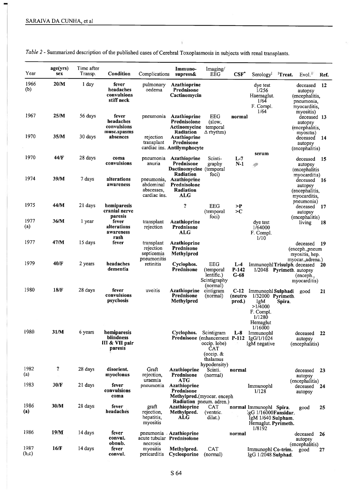| Year          | age(yrs)<br>sex | Time after<br>Transp. | Condition                                             | Complications                                         | Immuno-<br>supress&                                                                   | Imaging/<br>EEG                                                                     | CSF                         | Serology <sup><math>I</math></sup> <sup>1</sup> Treat.                                                          |        | Evol."                                                                              | Ref. |
|---------------|-----------------|-----------------------|-------------------------------------------------------|-------------------------------------------------------|---------------------------------------------------------------------------------------|-------------------------------------------------------------------------------------|-----------------------------|-----------------------------------------------------------------------------------------------------------------|--------|-------------------------------------------------------------------------------------|------|
| 1966<br>(b)   | 20/M            | 1 day                 | fever<br>headaches<br>convulsions<br>stiff neck       | pulmonary<br>oedema                                   | <b>Azathioprine</b><br>Prednisone<br>Cactinomycin                                     |                                                                                     |                             | dye test<br>1/256<br>Haemaglut.<br>1/64<br>F. Compl.                                                            |        | deceased<br>autopsy<br>(encephalitis,<br>pneumonia,<br>myocarditis,                 | 12   |
| 1967          | 25/M            | 56 days               | fever<br>headaches<br>convulsions                     | pneumonia                                             | Azathioprine<br>Prednisolone<br>Actinomycine                                          | <b>EEG</b><br>(slow,<br>temporal                                                    | normal                      | 1/64                                                                                                            |        | myositis)<br>deceased 13<br>autopsy<br>(encephalitis,                               |      |
| 1970          | 35/M            | 30 days               | musc.spasms<br>absences                               | rejection<br>transplant                               | Radiation<br><b>Azathioprine</b><br>Prednisone<br>cardiac ins. Antilymphocyte         | $\Delta$ rhythm)                                                                    |                             |                                                                                                                 |        | myositis)<br>deceased<br>autopsy<br>(encephalitis)                                  | 14   |
| 1970          | 44/F            | 28 days               | coma<br>convulsions                                   | pneumonia<br>anuria                                   | Azathioprine<br>Prednisone<br>Dactinomycine (temporal                                 | Scinti-<br>graphy                                                                   | $L-7$<br>$N-1$              | serum<br>19                                                                                                     |        | deceased<br>autopsy<br>(encephalitis)                                               | - 15 |
| 1974          | 39/M            | 7 days                | alterations<br>awareness                              | pneumonia,<br>abdominal<br>abscesses,<br>cardiac ins. | Radiation<br><b>Azathioprine</b><br>Prednisolone<br>Radiation<br>ALG                  | foci)                                                                               |                             |                                                                                                                 |        | myocarditis)<br>deceased<br>autopsy<br>(encephalitis,<br>myocarditis.<br>pneumonia) | - 16 |
| 1975          | 44/M            | 21 days               | hemiparesis<br>cranial nerve<br>paresis               |                                                       | ?                                                                                     | EEG<br>(temporal<br>foci)                                                           | >P<br>>c                    |                                                                                                                 |        | deceased 17<br>autopsy                                                              |      |
| 1977<br>(a)   | 36/M            | 1 year                | fever<br>alterations<br>awareness<br>rash             | transplant<br>rejection                               | Azathioprine<br>Prednisone<br>ALG                                                     |                                                                                     |                             | dye test<br>1/64000<br>F. Compl.<br>1/10                                                                        |        | (encephalitis)<br>living                                                            | 18   |
| 1977          | 47/M            | 15 days               | fever                                                 | transplant<br>rejection<br>septicemia<br>pneumonitis  | Azathioprine<br>Prednisone<br>Methylpred                                              |                                                                                     |                             |                                                                                                                 |        | deceased<br>(enceph.,pneum<br>myositis, hep.<br>myocar., adrena.)                   | 19   |
| 1979          | 40/F            | 2 years               | headaches<br>dementia                                 | retinitis                                             | Cyclophos.<br>Prednisone                                                              | EEG<br>(temporal<br>lentific.)<br>Scintigraphy<br>(normal)                          | $L-4$<br>P-142<br>G-68      | ImmunophlTrisulph. deceased<br>1/2048 Pyrimeth. autopsy                                                         |        | (enceph.,<br>myocarditis)                                                           | 20   |
| 1980          | 18/F            | 28 days               | fever<br>convulsions<br>psychosis                     | uveitis                                               | <b>Azathioprine</b><br>Prednisone<br>Methylpred                                       | cintigram<br>(normal)                                                               | $C-12$<br>(neutro<br>pred.) | Immunophl Sulphadi<br>$1/32000$ Pyrimeth.<br>IgM<br>>1/4000<br>F. Compl.<br>1/1280<br>Hemaglut<br>1/16000       | Spira. | good                                                                                | 21   |
| 1980          | 31/M            | 6 years               | hemiparesis<br>blindness<br>III & VII pair<br>paresis |                                                       | Cyclophos.<br>Prednisone (enhancement P-112 IgG/1/1024                                | Scintigram<br>occip. lobe)<br><b>CAT</b><br>(occip. $&$<br>thalamus<br>hypodensity) | $L-8$                       | Immunophl<br>IgM negative                                                                                       |        | deceased<br>autopsy<br>(encephalitis)                                               | 22   |
| 1982<br>(a)   | ?               | 28 days               | disorient.<br>myoclonus                               | Graft<br>rejection,<br>uraemia                        | <b>Azathioprine</b><br>Prednisone<br><b>ATG</b>                                       | Scinti.<br>(normal)                                                                 | normal                      |                                                                                                                 |        | deceased 23<br>autopsy                                                              |      |
| 1983          | 30/F            | 21 days               | fever<br>convulsions<br>coma                          | pneumonia                                             | Azathioprine<br>Prednisone<br>Methylpred. (myocar. enceph<br>Radiation pneum. adren.) |                                                                                     |                             | Immunophl<br>1/128                                                                                              |        | (encephalitis)<br>deceased 24<br>autopsy                                            |      |
| 1986<br>(a)   | 30/M            | 28 days               | fever<br>headaches                                    | graft<br>rejection,<br>hepatitis.<br>myositis         | <b>Azathioprine</b><br>Methylpred.<br><b>ALG</b>                                      | CAT<br>(ventric.<br>dilat.)                                                         |                             | normal Immunophl Spira.<br>$IgG$ 1/16000 $Fansidar$ .<br>Ig $M$ 1/640 Sulpham.<br>Hemaglut. Pyrimeth.<br>1/8192 |        | good                                                                                | 25   |
| 1986          | 19/M            | 14 days               | fever<br>convul.<br>obnub.                            | necrosis                                              | pneumonia Azathioprine<br>acute tubular Prednisolone                                  |                                                                                     | normal                      |                                                                                                                 |        | deceased<br>autopsy                                                                 | -26  |
| 1987<br>(b,c) | 16/F            | 14 days               | fever<br>convul.                                      | myositis<br>pericarditis                              | Methylpred.<br>Cyclosporine                                                           | <b>CAT</b><br>(normal)                                                              |                             | Immunophl Co-trim.<br>$IgG$ $1/2048$ Sulphad.                                                                   |        | (encephalitis)<br>good                                                              | 27   |

Table 2 - Summarized description of the published cases of Cerebral Toxoplasmosis in subjects with renal transplants.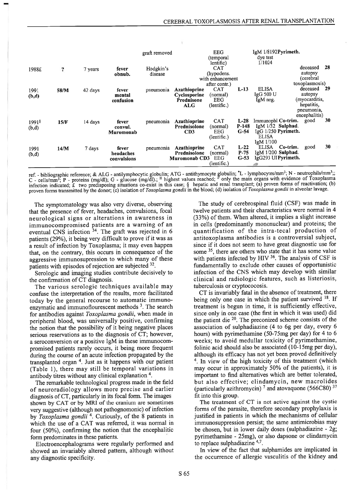|                            |                            |         |                                   | graft removed        | <b>EEG</b><br>(temporal)                                        |                                                               | $IgM$ 1/8192Pyrimeth.<br>dye test |                                                                                             |                                                                                                     |     |
|----------------------------|----------------------------|---------|-----------------------------------|----------------------|-----------------------------------------------------------------|---------------------------------------------------------------|-----------------------------------|---------------------------------------------------------------------------------------------|-----------------------------------------------------------------------------------------------------|-----|
| 1988£                      | $\boldsymbol{\mathcal{P}}$ | 7 years | fever<br>obnub.                   | Hodgkin's<br>disease |                                                                 | lentific)<br><b>CAT</b><br>(hypodens.<br>with enhancement     |                                   | 1/1024                                                                                      | deceased<br>autopsy<br>(cerebral                                                                    | 28  |
| 1991<br>(b,d)              | 58/M                       | 42 days | fever<br>mental<br>confusion      | pneumonia            | <b>Azathioprine</b><br>Cyclosporine<br>Prednisone<br><b>ALG</b> | after contr.)<br><b>CAT</b><br>(normal)<br>EEG<br>(lentific.) | L-13                              | <b>ELISA</b><br>IgG 500 U<br>IgM neg.                                                       | toxoplasmosis)<br>deceased<br>autopsy<br>(myocarditis,<br>hepatitis,<br>pneumonia,<br>encephalitis) | -29 |
| 1991 <sup>§</sup><br>(b,d) | 15/F                       | 14 days | fever<br>convul.<br>Muromonab     | pneumonia            | Azathioprine<br>Prednisolone<br>CD3                             | <b>CAT</b><br>(normal)<br>EEG<br>(lentific.)                  | $L-28$<br>$P-148$<br>$G-54$       | Immunophl Co-trim.<br>IgM 1/32 Sulphad.<br>IgG 1/250 Pyrimeth.<br><b>ELISA</b><br>IgM 1/100 | good                                                                                                | 30  |
| 1991<br>(b,d)              | 14/M                       | 7 days  | fever<br>headaches<br>convulsions | pneumonia            | <b>Azathioprine</b><br>Prednisolone<br><b>Muromonab CD3</b>     | <b>CAT</b><br>(normal)<br>EEG<br>(lentific.)                  | $L-22$<br>$P-75$<br>$G-53$        | <b>ELISA</b><br>Co-trim.<br>$IgM$ $1/200$ Sulphad.<br>IgG293 UIPyrimeth.                    | good                                                                                                | 30  |

ref. - bibliographic reference; & ALG - antilymphocytic globulin; ATG - antithymocyte globulin; L - lymphocytes/mm3; N - neutrophils/mm3; C - cells/mm<sup>3</sup>; P - proteins (mg/dl); G - glucose (mg/dl).; <sup>11</sup> highest values reached; " only the main organs with evidence of 10xoplasma<br>infection indicated; £ two predisposing situations co-exist in this case; § hepa proven forms transmitted by the donor; (c) isolation of Toxoplasma gondii in the blood; (d) isolation of Toxoplasma gondii in alveolar lavage.

The symptomatology was also very diverse, observing that the presence of fever, headaches, convulsions, focal neurological signs or alterations in awareness in immunocompromised patients are <sup>a</sup> warning of an eventual CNS infection  $34$ . The graft was rejected in 6 patients (29%), it being very difficult to prove if it was as <sup>a</sup> result of infection by Toxoplasma; it may even happen that, on the contrary, this occurs in consequence of the aggressive immunosupression to which many of these patients with episodes of rejection are subjected 32.

Serologic and imaging studies contribute decisively to the confirrnation of CT diagnosis.

The various serologic techniques available may confuse the interpretation of the results, more facilitated today by the general recourse to automatic immuno enzymatic and immunoflourescent methods  $3$ . The search for antibodies against Toxoplasma gondii, when made in peripheral blood, was universally positive, confirming the notion that the possibility of it being negative places serious reservations as to the diagnosis of CT; however, <sup>a</sup> seroconversion or <sup>a</sup> positive IgM in these immunocom promised patients rarely occurs, it being more frequent during the course of an acute infection propagated by the transplanted organ  $4$ . Just as it happens with our patient (Table 1), there may still be temporal variations in antibody titres without any clinical explanation  $4$ .

The remarkable technological progress made in the field of neuroradiology allows more precise and earlier diagnosis of CT, particularly in its focal form. The images shown by CAT or by MRI of the cranium are sometimes very suggestive (although not pathognomonic) of infection by Toxoplasma gondii<sup>4</sup>. Curiously, of the 8 patients in which the use of <sup>a</sup> CAT was referred, it was normal in four (50%), confirming the notion that the encephalitic form predominates in these patients.

Electroencephalograms were regularly performed and showed an invariably altered pattern, although without any diagnostic specificity.

The study of cerebrospinal fluid (CSF) was made in twelve patients and their characteristics were normal in 4 (33%) of them. When altered, it implies a slight increase in celis (predominantly mononuclear) and proteins; the quantification of the intra-tecal production of antitoxoplasma antibodies is <sup>a</sup> controversial subject, since if it does not seem to have great diagnostic use for some  $<sup>35</sup>$ , there are others who state that it has some value</sup> with patients infected by HIV  $36$ . The analysis of CSF is fundamentally to exclude other causes of opportunistic infection of the CNS which may develop with similar clinical and radiologic features, such as listeriosis, tuberculosis or cryptococosis.

CT is invariably fatal in the absence of treatment, there being only one case in which the patient survived  $18.$  If treatment is begun in time, it is sufficiently effective, since only in one case (the first in which it was used) did the patient die  $20$ . The preconized scheme consists of the association of sulphadiazine (4 to 6g per day, every 6 hours) with pyrimethamine (50-75mg per day) for <sup>4</sup> to <sup>6</sup> weeks; to avoid medullar toxicity of pyrimethamine, folinic acid should also be associated (10-15mg per day), although its efficacy has not yet been proved definitively <sup>4</sup>. In view of the high toxicity of this treatment (which may occur in approximately 50% of the patients), it is important to find altematives which are better tolerated, but also effective; clindamycin, new macrolides (particularly azithromycin)<sup>7</sup> and atovaquone (566C80)<sup>37</sup> fit into this group.

The treatment of CT is not active against the cystic forms of the parasite, therefore secondary prophylaxis is justified in patients in which the mechanisms of cellular immunosuppression persist; the same antimicrobias may be chosen, but in lower daily doses (sulphadiazine - 2g; pyrimethamine - 25mg), or also dapsone or clindamycin to replace sulphadiazine  $4,7$ .

In view of the fact that sulphamides are implicated in the occurrence of allergic vasculitis of the kidney and